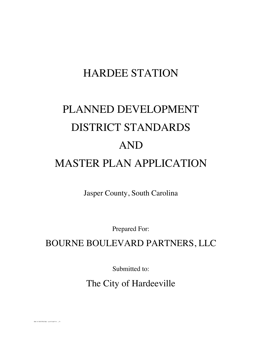# HARDEE STATION

# PLANNED DEVELOPMENT DISTRICT STANDARDS AND MASTER PLAN APPLICATION

Jasper County, South Carolina

Prepared For:

# BOURNE BOULEVARD PARTNERS, LLC

Submitted to:

The City of Hardeeville

BLUFFTON-#434831-v3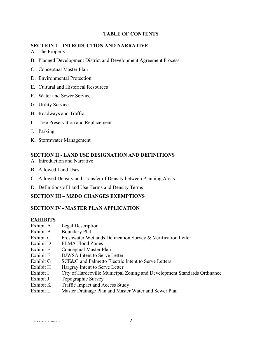#### **TABLE OF CONTENTS**

### **SECTION I – INTRODUCTION AND NARRATIVE**

- A. The Property
- B. Planned Development District and Development Agreement Process
- C. Conceptual Master Plan
- D. Environmental Protection
- E. Cultural and Historical Resources
- F. Water and Sewer Service
- G. Utility Service
- H. Roadways and Traffic
- I. Tree Preservation and Replacement
- J. Parking
- K. Stormwater Management

### **SECTION II - LAND USE DESIGNATION AND DEFINITIONS**

- A. Introduction and Narrative
- B. Allowed Land Uses
- C. Allowed Density and Transfer of Density between Planning Areas
- D. Definitions of Land Use Terms and Density Terms

### **SECTION III – MZDO CHANGES EXEMPTIONS**

### **SECTION IV - MASTER PLAN APPLICATION**

### **EXHIBITS**

- Exhibit A Legal Description
- Exhibit B Boundary Plat
- Exhibit C Freshwater Wetlands Delineation Survey & Verification Letter
- Exhibit D FEMA Flood Zones
- Exhibit E Conceptual Master Plan
- Exhibit F BJWSA Intent to Serve Letter
- Exhibit G SCE&G and Palmetto Electric Intent to Serve Letters
- Exhibit H Hargray Intent to Serve Letter
- Exhibit I City of Hardeeville Municipal Zoning and Development Standards Ordinance
- Exhibit J Topographic Survey
- Exhibit K Traffic Impact and Access Study
- Exhibit L Master Drainage Plan and Master Water and Sewer Plan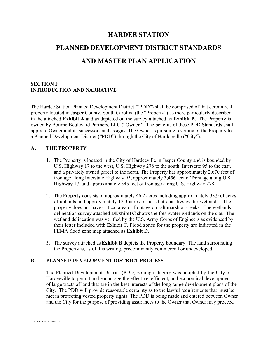### **HARDEE STATION**

# **PLANNED DEVELOPMENT DISTRICT STANDARDS AND MASTER PLAN APPLICATION**

#### **SECTION I: INTRODUCTION AND NARRATIVE**

The Hardee Station Planned Development District ("PDD") shall be comprised of that certain real property located in Jasper County, South Carolina (the "Property") as more particularly described in the attached **Exhibit A** and as depicted on the survey attached as **Exhibit B**.The Property is owned by Bourne Boulevard Partners, LLC ("Owner"). The benefits of these PDD Standards shall apply to Owner and its successors and assigns. The Owner is pursuing rezoning of the Property to a Planned Development District ("PDD") through the City of Hardeeville ("City").

#### **A. THE PROPERTY**

- 1. The Property is located in the City of Hardeeville in Jasper County and is bounded by U.S. Highway 17 to the west, U.S. Highway 278 to the south, Interstate 95 to the east, and a privately owned parcel to the north. The Property has approximately 2,670 feet of frontage along Interstate Highway 95, approximately 3,456 feet of frontage along U.S. Highway 17, and approximately 345 feet of frontage along U.S. Highway 278.
- 2. The Property consists of approximately 46.2 acres including approximately 33.9 of acres of uplands and approximately 12.3 acres of jurisdictional freshwater wetlands. The property does not have critical area or frontage on salt marsh or creeks. The wetlands delineation survey attached as **Exhibit C** shows the freshwater wetlands on the site. The wetland delineation was verified by the U.S. Army Corps of Engineers as evidenced by their letter included with Exhibit C. Flood zones for the property are indicated in the FEMA flood zone map attached as **Exhibit D**.
- 3. The survey attached as **Exhibit B** depicts the Property boundary. The land surrounding the Property is, as of this writing, predominantly commercial or undeveloped.

#### **B. PLANNED DEVELOPMENT DISTRICT PROCESS**

The Planned Development District (PDD) zoning category was adopted by the City of Hardeeville to permit and encourage the effective, efficient, and economical development of large tracts of land that are in the best interests of the long range development plans of the City. The PDD will provide reasonable certainty as to the lawful requirements that must be met in protecting vested property rights. The PDD is being made and entered between Owner and the City for the purpose of providing assurances to the Owner that Owner may proceed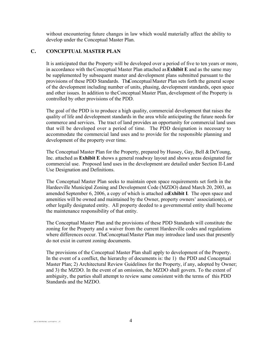without encountering future changes in law which would materially affect the ability to develop under the Conceptual Master Plan.

#### **C. CONCEPTUAL MASTER PLAN**

It is anticipated that the Property will be developed over a period of five to ten years or more, in accordance with the Conceptual Master Plan attached as **Exhibit E** and as the same may be supplemented by subsequent master and development plans submitted pursuant to the provisions of these PDD Standards. The Conceptual Master Plan sets forth the general scope of the development including number of units, phasing, development standards, open space and other issues. In addition to the Conceptual Master Plan, development of the Property is controlled by other provisions of the PDD.

The goal of the PDD is to produce a high quality, commercial development that raises the quality of life and development standards in the area while anticipating the future needs for commerce and services. The tract of land provides an opportunity for commercial land uses that will be developed over a period of time. The PDD designation is necessary to accommodate the commercial land uses and to provide for the responsible planning and development of the property over time.

The Conceptual Master Plan for the Property, prepared by Hussey, Gay, Bell & DeYoung, Inc. attached as **Exhibit E** shows a general roadway layout and shows areas designated for commercial use. Proposed land uses in the development are detailed under Section II-Land Use Designation and Definitions.

The Conceptual Master Plan seeks to maintain open space requirements set forth in the Hardeeville Municipal Zoning and Development Code (MZDO) dated March 20, 2003, as amended September 6, 2006, a copy of which is attached as **Exhibit I**. The open space and amenities will be owned and maintained by the Owner, property owners' association(s), or other legally designated entity. All property deeded to a governmental entity shall become the maintenance responsibility of that entity.

The Conceptual Master Plan and the provisions of these PDD Standards will constitute the zoning for the Property and a waiver from the current Hardeeville codes and regulations where differences occur. The Conceptual Master Plan may introduce land uses that presently do not exist in current zoning documents.

The provisions of the Conceptual Master Plan shall apply to development of the Property. In the event of a conflict, the hierarchy of documents is: the 1) the PDD and Conceptual Master Plan; 2) Architectural Review Guidelines for the Property, if any, adopted by Owner; and 3) the MZDO. In the event of an omission, the MZDO shall govern. To the extent of ambiguity, the parties shall attempt to review same consistent with the terms of this PDD Standards and the MZDO.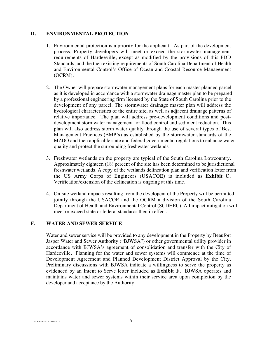#### **D. ENVIRONMENTAL PROTECTION**

- 1. Environmental protection is a priority for the applicant. As part of the development process, Property developers will meet or exceed the stormwater management requirements of Hardeeville, except as modified by the provisions of this PDD Standards, and the then existing requirements of South Carolina Department of Health and Environmental Control's Office of Ocean and Coastal Resource Management (OCRM).
- 2. The Owner will prepare stormwater management plans for each master planned parcel as it is developed in accordance with a stormwater drainage master plan to be prepared by a professional engineering firm licensed by the State of South Carolina prior to the development of any parcel. The stormwater drainage master plan will address the hydrological characteristics of the entire site, as well as adjacent drainage patterns of relative importance. The plan will address pre-development conditions and postdevelopment stormwater management for flood control and sediment reduction. This plan will also address storm water quality through the use of several types of Best Management Practices (BMP's) as established by the stormwater standards of the MZDO and then applicable state and federal governmental regulations to enhance water quality and protect the surrounding freshwater wetlands.
- 3. Freshwater wetlands on the property are typical of the South Carolina Lowcountry. Approximately eighteen (18) percent of the site has been determined to be jurisdictional freshwater wetlands. A copy of the wetlands delineation plan and verification letter from the US Army Corps of Engineers (USACOE) is included as **Exhibit C**. Verification/extension of the delineation is ongoing at this time.
- 4. On-site wetland impacts resulting from the development of the Property will be permitted jointly through the USACOE and the OCRM a division of the South Carolina Department of Health and Environmental Control (SCDHEC). All impact mitigation will meet or exceed state or federal standards then in effect.

#### **F. WATER AND SEWER SERVICE**

Water and sewer service will be provided to any development in the Property by Beaufort Jasper Water and Sewer Authority ("BJWSA") or other governmental utility provider in accordance with BJWSA's agreement of consolidation and transfer with the City of Hardeeville. Planning for the water and sewer systems will commence at the time of Development Agreement and Planned Development District Approval by the City. Preliminary discussions with BJWSA indicate a willingness to serve the property as evidenced by an Intent to Serve letter included as **Exhibit F**. BJWSA operates and maintains water and sewer systems within their service area upon completion by the developer and acceptance by the Authority.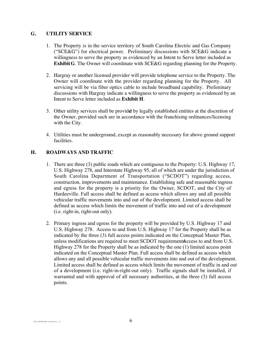#### **G. UTILITY SERVICE**

- 1. The Property is in the service territory of South Carolina Electric and Gas Company ("SCE&G") for electrical power. Preliminary discussions with SCE&G indicate a willingness to serve the property as evidenced by an Intent to Serve letter included as **Exhibit G**. The Owner will coordinate with SCE&G regarding planning for the Property.
- 2. Hargray or another licensed provider will provide telephone service to the Property. The Owner will coordinate with the provider regarding planning for the Property. All servicing will be via fiber optics cable to include broadband capability. Preliminary discussions with Hargray indicate a willingness to serve the property as evidenced by an Intent to Serve letter included as **Exhibit H**.
- 3. Other utility services shall be provided by legally established entities at the discretion of the Owner, provided such are in accordance with the franchising ordinances/licensing with the City.
- 4. Utilities must be underground, except as reasonably necessary for above ground support facilities.

#### **H. ROADWAYS AND TRAFFIC**

- 1. There are three (3) public roads which are contiguous to the Property: U.S. Highway 17, U.S. Highway 278, and Interstate Highway 95, all of which are under the jurisdiction of South Carolina Department of Transportation ("SCDOT") regarding access, construction, improvements and maintenance. Establishing safe and reasonable ingress and egress for the property is a priority for the Owner, SCDOT, and the City of Hardeeville. Full access shall be defined as access which allows any and all possible vehicular traffic movements into and out of the development. Limited access shall be defined as access which limits the movement of traffic into and out of a development (i.e. right-in, right-out only).
- 2. Primary ingress and egress for the property will be provided by U.S. Highway 17 and U.S. Highway 278. Access to and from U.S. Highway 17 for the Property shall be as indicated by the three (3) full access points indicated on the Conceptual Master Plan, unless modifications are required to meet SCDOT requirements. Access to and from U.S. Highway 278 for the Property shall be as indicated by the one (1) limited access point indicated on the Conceptual Master Plan. Full access shall be defined as access which allows any and all possible vehicular traffic movements into and out of the development. Limited access shall be defined as access which limits the movement of traffic in and out of a development (i.e. right-in-right-out only). Traffic signals shall be installed, if warranted and with approval of all necessary authorities, at the three (3) full access points.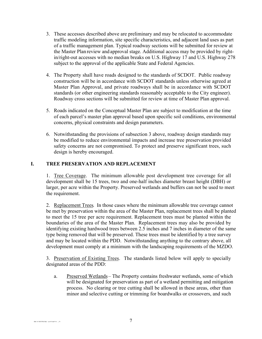- 3. These accesses described above are preliminary and may be relocated to accommodate traffic modeling information, site specific characteristics, and adjacent land uses as part of a traffic management plan. Typical roadway sections will be submitted for review at the Master Plan review and approval stage. Additional access may be provided by rightin/right-out accesses with no median breaks on U.S. Highway 17 and U.S. Highway 278 subject to the approval of the applicable State and Federal Agencies.
- 4. The Property shall have roads designed to the standards of SCDOT. Public roadway construction will be in accordance with SCDOT standards unless otherwise agreed at Master Plan Approval, and private roadways shall be in accordance with SCDOT standards (or other engineering standards reasonably acceptable to the City engineer). Roadway cross sections will be submitted for review at time of Master Plan approval.
- 5. Roads indicated on the Conceptual Master Plan are subject to modification at the time of each parcel's master plan approval based upon specific soil conditions, environmental concerns, physical constraints and design parameters.
- 6. Notwithstanding the provisions of subsection 3 above, roadway design standards may be modified to reduce environmental impacts and increase tree preservation provided safety concerns are not compromised. To protect and preserve significant trees, such design is hereby encouraged.

#### **I. TREE PRESERVATION AND REPLACEMENT**

1. Tree Coverage. The minimum allowable post development tree coverage for all development shall be 15 trees, two and one-half inches diameter breast height (DBH) or larger, per acre within the Property. Preserved wetlands and buffers can not be used to meet the requirement.

2. Replacement Trees. In those cases where the minimum allowable tree coverage cannot be met by preservation within the area of the Master Plan, replacement trees shall be planted to meet the 15 tree per acre requirement. Replacement trees must be planted within the boundaries of the area of the Master Plan. Replacement trees may also be provided by identifying existing hardwood trees between 2.5 inches and 7 inches in diameter of the same type being removed that will be preserved. These trees must be identified by a tree survey and may be located within the PDD.Notwithstanding anything to the contrary above, all development must comply at a minimum with the landscaping requirements of the MZDO.

3. Preservation of Existing Trees. The standards listed below will apply to specially designated areas of the PDD:

a. Preserved Wetlands – The Property contains freshwater wetlands, some of which will be designated for preservation as part of a wetland permitting and mitigation process. No clearing or tree cutting shall be allowed in these areas, other than minor and selective cutting or trimming for boardwalks or crossovers, and such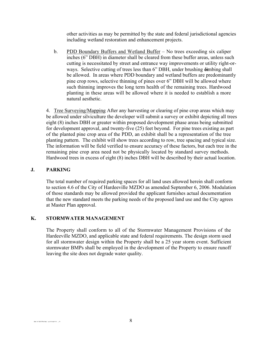other activities as may be permitted by the state and federal jurisdictional agencies including wetland restoration and enhancement projects.

b. PDD Boundary Buffers and Wetland Buffer – No trees exceeding six caliper inches (6" DBH) in diameter shall be cleared from these buffer areas, unless such cutting is necessitated by street and entrance way improvements or utility right-orways. Selective cutting of trees less than 6" DBH, under brushing dimbing shall be allowed. In areas where PDD boundary and wetland buffers are predominantly pine crop rows, selective thinning of pines over 6" DBH will be allowed where such thinning improves the long term health of the remaining trees. Hardwood planting in these areas will be allowed where it is needed to establish a more natural aesthetic.

4. Tree Surveying/Mapping After any harvesting or clearing of pine crop areas which may be allowed under silviculture the developer will submit a survey or exhibit depicting all trees eight (8) inches DBH or greater within proposed development phase areas being submitted for development approval, and twenty-five (25) feet beyond. For pine trees existing as part of the planted pine crop area of the PDD, an exhibit shall be a representation of the tree planting pattern. The exhibit will show trees according to row, tree spacing and typical size. The information will be field verified to ensure accuracy of these factors, but each tree in the remaining pine crop area need not be physically located by standard survey methods. Hardwood trees in excess of eight (8) inches DBH will be described by their actual location.

#### **J. PARKING**

The total number of required parking spaces for all land uses allowed herein shall conform to section 4.6 of the City of Hardeeville MZDO as amended September 6, 2006. Modulation of those standards may be allowed provided the applicant furnishes actual documentation that the new standard meets the parking needs of the proposed land use and the City agrees at Master Plan approval.

#### **K. STORMWATER MANAGEMENT**

The Property shall conform to all of the Stormwater Management Provisions of the Hardeeville MZDO, and applicable state and federal requirements. The design storm used for all stormwater design within the Property shall be a 25 year storm event. Sufficient stormwater BMPs shall be employed in the development of the Property to ensure runoff leaving the site does not degrade water quality.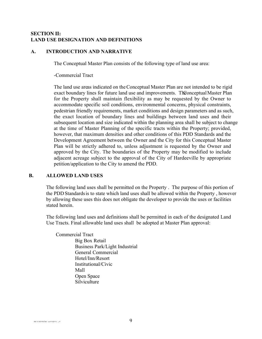#### **SECTION II: LAND USE DESIGNATION AND DEFINITIONS**

#### **A. INTRODUCTION AND NARRATIVE**

The Conceptual Master Plan consists of the following type of land use area:

-Commercial Tract

The land use areas indicated on the Conceptual Master Plan are not intended to be rigid exact boundary lines for future land use and improvements. The Onceptual Master Plan for the Property shall maintain flexibility as may be requested by the Owner to accommodate specific soil conditions, environmental concerns, physical constraints, pedestrian friendly requirements, market conditions and design parameters and as such, the exact location of boundary lines and buildings between land uses and their subsequent location and size indicated within the planning area shall be subject to change at the time of Master Planning of the specific tracts within the Property; provided, however, that maximum densities and other conditions of this PDD Standards and the Development Agreement between the Owner and the City for this Conceptual Master Plan will be strictly adhered to, unless adjustment is requested by the Owner and approved by the City. The boundaries of the Property may be modified to include adjacent acreage subject to the approval of the City of Hardeeville by appropriate petition/application to the City to amend the PDD.

#### **B. ALLOWED LAND USES**

The following land uses shall be permitted on the Property . The purpose of this portion of the PDD Standardsis to state which land uses shall be allowed within the Property , however by allowing these uses this does not obligate the developer to provide the uses or facilities stated herein.

The following land uses and definitions shall be permitted in each of the designated Land Use Tracts. Final allowable land uses shall be adopted at Master Plan approval:

Commercial Tract Big Box Retail Business Park/Light Industrial General Commercial Hotel/Inn/Resort Institutional/Civic Mall Open Space **Silviculture**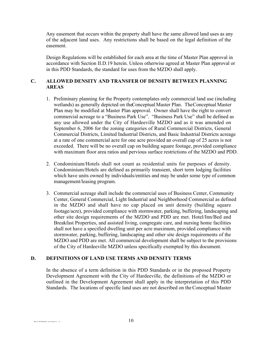Any easement that occurs within the property shall have the same allowed land uses as any of the adjacent land uses. Any restrictions shall be based on the legal definition of the easement.

Design Regulations will be established for each area at the time of Master Plan approval in accordance with Section II.D.19 herein. Unless otherwise agreed at Master Plan approval or in this PDD Standards, the standard for uses from the MZDO shall apply.

#### **C. ALLOWED DENSITY AND TRANSFER OF DENSITY BETWEEN PLANNING AREAS**

- 1. Preliminary planning for the Property contemplates only commercial land use (including wetlands) as generally depicted on the Conceptual Master Plan. The Conceptual Master Plan may be modified at Master Plan approval. Owner shall have the right to convert commercial acreage to a "Business Park Use". "Business Park Use" shall be defined as any use allowed under the City of Hardeeville MZDO and as it was amended on September 6, 2006 for the zoning categories of Rural Commercial Districts, General Commercial Districts, Limited Industrial Districts, and Basic Industrial Districts acreage at a rate of one commercial acre for one acre provided an overall cap of 25 acres is not exceeded. There will be no overall cap on building square footage, provided compliance with maximum floor area ratios and pervious surface restrictions of the MZDO and PDD.
- 2. Condominium/Hotels shall not count as residential units for purposes of density. Condominium/Hotels are defined as primarily transient, short term lodging facilities which have units owned by individuals/entities and may be under some type of common management/leasing program.
- 3. Commercial acreage shall include the commercial uses of Business Center, Community Center, General Commercial, Light Industrial and Neighborhood Commercial as defined in the MZDO and shall have no cap placed on unit density (building square footage/acre), provided compliance with stormwater, parking, buffering, landscaping and other site design requirements of the MZDO and PDD are met. Hotel/Inn/Bed and Breakfast Properties, and assisted living, congregate care, and nursing home facilities shall not have a specified dwelling unit per acre maximum, provided compliance with stormwater, parking, buffering, landscaping and other site design requirements of the MZDO and PDD are met. All commercial development shall be subject to the provisions of the City of Hardeeville MZDO unless specifically exempted by this document.

#### **D. DEFINITIONS OF LAND USE TERMS AND DENSITY TERMS**

In the absence of a term definition in this PDD Standards or in the proposed Property Development Agreement with the City of Hardeeville, the definitions of the MZDO or outlined in the Development Agreement shall apply in the interpretation of this PDD Standards. The locations of specific land uses are not described on the Conceptual Master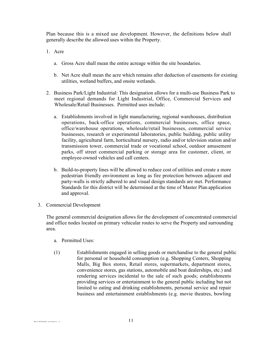Plan because this is a mixed use development. However, the definitions below shall generally describe the allowed uses within the Property.

- 1. Acre
	- a. Gross Acre shall mean the entire acreage within the site boundaries.
	- b. Net Acre shall mean the acre which remains after deduction of easements for existing utilities, wetland buffers, and onsite wetlands.
- 2. Business Park/Light Industrial: This designation allows for a multi-use Business Park to meet regional demands for Light Industrial, Office, Commercial Services and Wholesale/Retail Businesses. Permitted uses include:
	- a. Establishments involved in light manufacturing, regional warehouses, distribution operations, back-office operations, commercial businesses, office space, office/warehouse operations, wholesale/retail businesses, commercial service businesses, research or experimental laboratories, public building, public utility facility, agricultural farm, horticultural nursery, radio and/or television station and/or transmission tower, commercial trade or vocational school, outdoor amusement parks, off street commercial parking or storage area for customer, client, or employee-owned vehicles and call centers.
	- b. Build-to-property lines will be allowed to reduce cost of utilities and create a more pedestrian friendly environment as long as fire protection between adjacent and party-walls is strictly adhered to and visual design standards are met. Performance Standards for this district will be determined at the time of Master Plan application and approval.
- 3. Commercial Development

The general commercial designation allows for the development of concentrated commercial and office nodes located on primary vehicular routes to serve the Property and surrounding area.

- a. Permitted Uses:
- (1) Establishments engaged in selling goods or merchandise to the general public for personal or household consumption (e.g. Shopping Centers, Shopping Malls, Big Box stores, Retail stores, supermarkets, department stores, convenience stores, gas stations, automobile and boat dealerships, etc.) and rendering services incidental to the sale of such goods; establishments providing services or entertainment to the general public including but not limited to eating and drinking establishments, personal service and repair business and entertainment establishments (e.g. movie theatres, bowling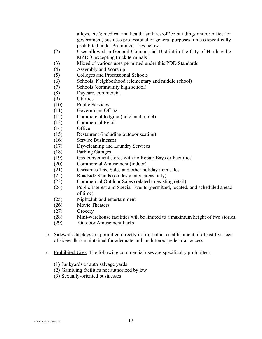alleys, etc.); medical and health facilities/office buildings and/or office for government, business professional or general purposes, unless specifically prohibited under Prohibited Uses below.

- (2) Uses allowed in General Commercial District in the City of Hardeeville MZDO, excepting truck terminals.l
- (3) Mixed of various uses permitted under this PDD Standards
- (4) Assembly and Worship
- (5) Colleges and Professional Schools
- (6) Schools, Neighborhood (elementary and middle school)
- (7) Schools (community high school)
- (8) Daycare, commercial
- (9) Utilities
- (10) Public Services
- (11) Government Office
- (12) Commercial lodging (hotel and motel)
- (13) Commercial Retail
- (14) Office
- (15) Restaurant (including outdoor seating)
- (16) Service Businesses
- (17) Dry-cleaning and Laundry Services
- (18) Parking Garages
- (19) Gas-convenient stores with no Repair Bays or Facilities
- (20) Commercial Amusement (indoor)
- (21) Christmas Tree Sales and other holiday item sales
- (22) Roadside Stands (on designated areas only)
- (23) Commercial Outdoor Sales (related to existing retail)
- (24) Public Interest and Special Events (permitted, located, and scheduled ahead of time)
- (25) Nightclub and entertainment
- (26) Movie Theaters
- (27) Grocery
- (28) Mini-warehouse facilities will be limited to a maximum height of two stories.
- (29) Outdoor Amusement Parks
- b. Sidewalk displays are permitted directly in front of an establishment, if a least five feet of sidewalk is maintained for adequate and uncluttered pedestrian access.
- c. Prohibited Uses. The following commercial uses are specifically prohibited:
	- (1) Junkyards or auto salvage yards
	- (2) Gambling facilities not authorized by law
	- (3) Sexually-oriented businesses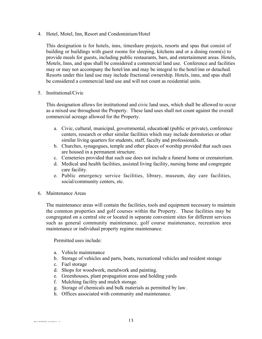4. Hotel, Motel, Inn, Resort and Condominium/Hotel

This designation is for hotels, inns, timeshare projects, resorts and spas that consist of building or buildings with guest rooms for sleeping, kitchens and or a dining room(s) to provide meals for guests, including public restaurants, bars, and entertainment areas. Hotels, Motels, Inns, and spas shall be considered a commercial land use. Conference and facilities may or may not accompany the hotel/inn and may be integral to the hotel/inn or detached. Resorts under this land use may include fractional ownership. Hotels, inns, and spas shall be considered a commercial land use and will not count as residential units.

#### 5. Institutional/Civic

This designation allows for institutional and civic land uses, which shall be allowed to occur as a mixed use throughout the Property. These land uses shall not count against the overall commercial acreage allowed for the Property.

- a. Civic, cultural, municipal, governmental, educational (public or private), conference centers, research or other similar facilities which may include dormitories or other similar living quarters for students, staff, faculty and professionals.
- b. Churches, synagogues, temple and other places of worship provided that such uses are housed in a permanent structure.
- c. Cemeteries provided that such use does not include a funeral home or crematorium.
- d. Medical and health facilities, assisted living facility, nursing home and congregate care facility.
- e. Public emergency service facilities, library, museum, day care facilities, social/community centers, etc.
- 6. Maintenance Areas

The maintenance areas will contain the facilities, tools and equipment necessary to maintain the common properties and golf courses within the Property. These facilities may be congregated on a central site or located in separate convenient sites for different services such as general community maintenance, golf course maintenance, recreation area maintenance or individual property regime maintenance.

Permitted uses include:

- a. Vehicle maintenance
- b. Storage of vehicles and parts, boats, recreational vehicles and resident storage
- c. Fuel storage
- d. Shops for woodwork, metalwork and painting.
- e. Greenhouses, plant propagation areas and holding yards
- f. Mulching facility and mulch storage.
- g. Storage of chemicals and bulk materials as permitted by law.
- h. Offices associated with community and maintenance.

 $\mathbb{R}$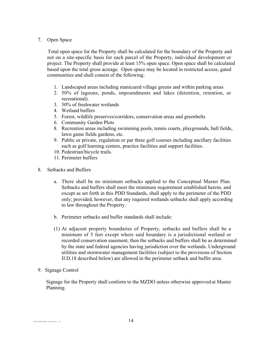#### 7. Open Space

Total open space for the Property shall be calculated for the boundary of the Property and not on a site-specific basis for each parcel of the Property, individual development or project. The Property shall provide at least 15% open space. Open space shall be calculated based upon the total gross acreage. Open space may be located in restricted access, gated communities and shall consist of the following:

- 1. Landscaped areas including manicured village greens and within parking areas
- 2. 50% of lagoons, ponds, impoundments and lakes (detention, retention, or recreational).
- 3. 50% of freshwater wetlands
- 4. Wetland buffers
- 5. Forest, wildlife preserves/corridors, conservation areas and greenbelts
- 6. Community Garden Plots
- 8. Recreation areas including swimming pools, tennis courts, playgrounds, ball fields, lawn game fields gardens, etc.
- 9. Public or private, regulation or par three golf courses including ancillary facilities such as golf learning centers, practice facilities and support facilities.
- 10. Pedestrian/bicycle trails.
- 11. Perimeter buffers
- 8. Setbacks and Buffers
	- a. There shall be no minimum setbacks applied to the Conceptual Master Plan. Setbacks and buffers shall meet the minimum requirement established herein, and except as set forth in this PDD Standards, shall apply to the perimeter of the PDD only; provided, however, that any required wetlands setbacks shall apply according to law throughout the Property.
	- b. Perimeter setbacks and buffer standards shall include:
	- (1) At adjacent property boundaries of Property, setbacks and buffers shall be a minimum of 5 feet except where said boundary is a jurisdictional wetland or recorded conservation easement, then the setbacks and buffers shall be as determined by the state and federal agencies having jurisdiction over the wetlands. Underground utilities and stormwater management facilities (subject to the provisions of Section II.D.18 described below) are allowed in the perimeter setback and buffer area.
- 9. Signage Control

Signage for the Property shall conform to the MZDO unless otherwise approved at Master Planning.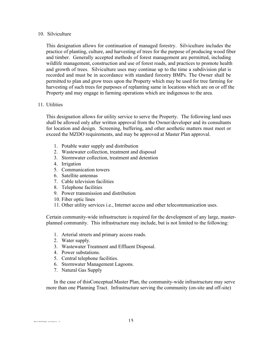#### 10. Silviculture

This designation allows for continuation of managed forestry. Silviculture includes the practice of planting, culture, and harvesting of trees for the purpose of producing wood fiber and timber. Generally accepted methods of forest management are permitted, including wildlife management, construction and use of forest roads, and practices to promote health and growth of trees. Silviculture uses may continue up to the time a subdivision plat is recorded and must be in accordance with standard forestry BMPs. The Owner shall be permitted to plan and grow trees upon the Property which may be used for tree farming for harvesting of such trees for purposes of replanting same in locations which are on or off the Property and may engage in farming operations which are indigenous to the area.

#### 11. Utilities

This designation allows for utility service to serve the Property. The following land uses shall be allowed only after written approval from the Owner/developer and its consultants for location and design. Screening, buffering, and other aesthetic matters must meet or exceed the MZDO requirements, and may be approved at Master Plan approval.

- 1. Potable water supply and distribution
- 2. Wastewater collection, treatment and disposal
- 3. Stormwater collection, treatment and detention
- 4. Irrigation
- 5. Communication towers
- 6. Satellite antennas
- 7. Cable television facilities
- 8. Telephone facilities
- 9. Power transmission and distribution
- 10. Fiber optic lines
- 11. Other utility services i.e., Internet access and other telecommunication uses.

Certain community-wide infrastructure is required for the development of any large, masterplanned community. This infrastructure may include, but is not limited to the following:

- 1. Arterial streets and primary access roads.
- 2. Water supply.
- 3. Wastewater Treatment and Effluent Disposal.
- 4. Power substations.
- 5. Central telephone facilities.
- 6. Stormwater Management Lagoons.
- 7. Natural Gas Supply

In the case of this Conceptual Master Plan, the community-wide infrastructure may serve more than one Planning Tract. Infrastructure serving the community (on-site and off-site)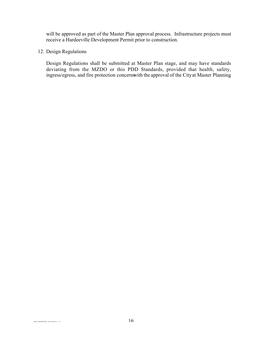will be approved as part of the Master Plan approval process. Infrastructure projects must receive a Hardeeville Development Permit prior to construction.

#### 12. Design Regulations

Design Regulations shall be submitted at Master Plan stage, and may have standards deviating from the MZDO or this PDD Standards, provided that health, safety, ingress/egress, and fire protection concerns with the approval of the City at Master Planning.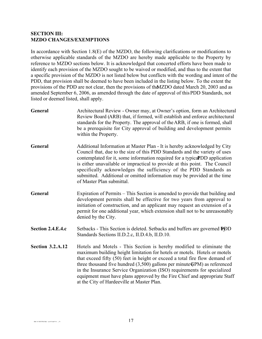#### **SECTION III: MZDO CHANGES/EXEMPTIONS**

In accordance with Section 1.8(E) of the MZDO, the following clarifications or modifications to otherwise applicable standards of the MZDO are hereby made applicable to the Property by reference to MZDO sections below. It is acknowledged that concerted efforts have been made to identify each provision of the MZDO sought to be waived or modified, and thus to the extent that a specific provision of the MZDO is not listed below but conflicts with the wording and intent of the PDD, that provision shall be deemed to have been included in the listing below. To the extent the provisions of the PDD are not clear, then the provisions of the MZDO dated March 20, 2003 and as amended September 6, 2006, as amended through the date of approval of this PDD Standards, not listed or deemed listed, shall apply.

- **General** Architectural Review Owner may, at Owner's option, form an Architectural Review Board (ARB) that, if formed, will establish and enforce architectural standards for the Property.The approval of the ARB, if one is formed, shall be a prerequisite for City approval of building and development permits within the Property.
- **General** Additional Information at Master Plan It is hereby acknowledged by City Council that, due to the size of this PDD Standards and the variety of uses contemplated for it, some information required for a typical PDD application is either unavailable or impractical to provide at this point. The Council specifically acknowledges the sufficiency of the PDD Standards as submitted. Additional or omitted information may be provided at the time of Master Plan submittal.
- **General** Expiration of Permits This Section is amended to provide that building and development permits shall be effective for two years from approval to initiation of construction, and an applicant may request an extension of a permit for one additional year, which extension shall not to be unreasonably denied by the City.
- **Section 2.4.E.4.c** Setbacks This Section is deleted. Setbacks and buffers are governed **DOD** Standards Sections II.D.2.c, II.D.4.b, II.D.10.
- **Section 3.2.A.12** Hotels and Motels This Section is hereby modified to eliminate the maximum building height limitation for hotels or motels. Hotels or motels that exceed fifty (50) feet in height or exceed a total fire flow demand of three thousand five hundred  $(3,500)$  gallons per minute GPM) as referenced in the Insurance Service Organization (ISO) requirements for specialized equipment must have plans approved by the Fire Chief and appropriate Staff at the City of Hardeeville at Master Plan.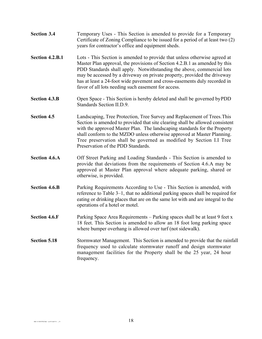- **Section 3.4** Temporary Uses This Section is amended to provide for a Temporary Certificate of Zoning Compliance to be issued for a period of at least two (2) years for contractor's office and equipment sheds.
- **Section 4.2.B.1** Lots This Section is amended to provide that unless otherwise agreed at Master Plan approval, the provisions of Section 4.2.B.1 as amended by this PDD Standards shall apply. Notwithstanding the above, commercial lots may be accessed by a driveway on private property, provided the driveway has at least a 24-foot wide pavement and cross-easements duly recorded in favor of all lots needing such easement for access.
- **Section 4.3.B** Open Space This Section is hereby deleted and shall be governed by PDD Standards Section II.D.9.
- **Section 4.5** Landscaping, Tree Protection, Tree Survey and Replacement of Trees. This Section is amended to provided that site clearing shall be allowed consistent with the approved Master Plan. The landscaping standards for the Property shall conform to the MZDO unless otherwise approved at Master Planning. Tree preservation shall be governed as modified by Section I.I Tree Preservation of the PDD Standards.
- **Section 4.6.A** Off Street Parking and Loading Standards This Section is amended to provide that deviations from the requirements of Section 4.6.A may be approved at Master Plan approval where adequate parking, shared or otherwise, is provided.
- **Section 4.6.B** Parking Requirements According to Use This Section is amended, with reference to Table 3–1, that no additional parking spaces shall be required for eating or drinking places that are on the same lot with and are integral to the operations of a hotel or motel.
- **Section 4.6.F** Parking Space Area Requirements Parking spaces shall be at least 9 feet x 18 feet. This Section is amended to allow an 18 foot long parking space where bumper overhang is allowed over turf (not sidewalk).
- **Section 5.18** Stormwater Management. This Section is amended to provide that the rainfall frequency used to calculate stormwater runoff and design stormwater management facilities for the Property shall be the 25 year, 24 hour frequency.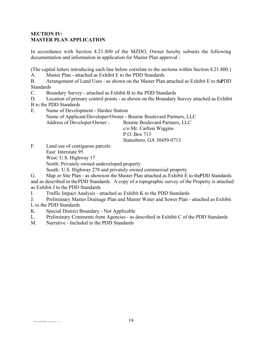#### **SECTION IV: MASTER PLAN APPLICATION**

In accordance with Section 4.21.800 of the MZDO, Owner hereby submits the following documentation and information in application for Master Plan approval :

(The capital letters introducing each line below correlate to the sections within Section 4.21.800.)

A. Master Plan - attached as Exhibit E to the PDD Standards

B. Arrangement of Land Uses - as shown on the Master Plan attached as Exhibit E to the PDD Standards

C. Boundary Survey - attached as Exhibit B to the PDD Standards

D. Location of primary control points - as shown on the Boundary Survey attached as Exhibit B to the PDD Standards

E. Name of Development - Hardee Station

Name of Applicant/Developer/Owner - Bourne Boulevard Partners, LLC

Address of Developer/Owner - Bourne Boulevard Partners, LLC

c/o Mr. Carlton Wiggins P.O. Box 713 Statesboro, GA 30459-0713

F. Land use of contiguous parcels: East: Interstate 95

West: U.S. Highway 17

North: Privately owned undeveloped property

South: U.S. Highway 278 and privately owned commercial property

G. Map or Site Plan - as shown on the Master Plan attached as Exhibit E to the PDD Standards and as described in the PDD Standards. A copy of a topographic survey of the Property is attached

as Exhibit J to the PDD Standards

I. Traffic Impact Analysis - attached as Exhibit K to the PDD Standards

J. Preliminary Master Drainage Plan and Master Water and Sewer Plan - attached as Exhibit L to the PDD Standards

- K. Special District Boundary Not Applicable
- L. Preliminary Comments from Agencies as described in Exhibit C of the PDD Standards

M. Narrative - Included in the PDD Standards

 $\frac{10}{3}$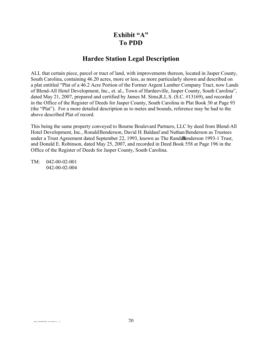### **Exhibit "A" To PDD**

### **Hardee Station Legal Description**

ALL that certain piece, parcel or tract of land, with improvements thereon, located in Jasper County, South Carolina, containing 46.20 acres, more or less, as more particularly shown and described on a plat entitled "Plat of a 46.2 Acre Portion of the Former Argent Lumber Company Tract, now Lands of Blend-All Hotel Development, Inc., et. al., Town of Hardeeville, Jasper County, South Carolina", dated May 21, 2007, prepared and certified by James M. Sims, R.L.S. (S.C. #13169), and recorded in the Office of the Register of Deeds for Jasper County, South Carolina in Plat Book 30 at Page 93 (the "Plat"). For a more detailed description as to metes and bounds, reference may be had to the above described Plat of record.

This being the same property conveyed to Bourne Boulevard Partners, LLC by deed from Blend-All Hotel Development, Inc., Ronald Benderson, David H. Baldauf and Nathan Benderson as Trustees under a Trust Agreement dated September 22, 1993, known as The Randal Benderson 1993-1 Trust, and Donald E. Robinson, dated May 25, 2007, and recorded in Deed Book 558 at Page 196 in the Office of the Register of Deeds for Jasper County, South Carolina.

TM: 042-00-02-001 042-00-02-004

 $20$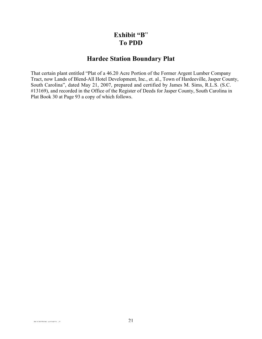### **Exhibit "B**" **To PDD**

### **Hardee Station Boundary Plat**

That certain plant entitled "Plat of a 46.20 Acre Portion of the Former Argent Lumber Company Tract, now Lands of Blend-All Hotel Development, Inc., et. al., Town of Hardeeville, Jasper County, South Carolina", dated May 21, 2007, prepared and certified by James M. Sims, R.L.S. (S.C. #13169), and recorded in the Office of the Register of Deeds for Jasper County, South Carolina in Plat Book 30 at Page 93 a copy of which follows.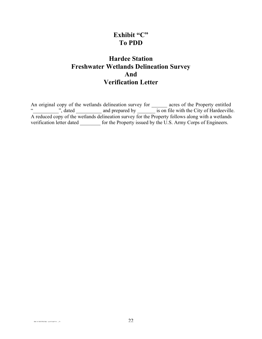### **Exhibit "C" To PDD**

### **Hardee Station Freshwater Wetlands Delineation Survey And Verification Letter**

An original copy of the wetlands delineation survey for \_\_\_\_\_\_\_ acres of the Property entitled ", dated and prepared by is on file with the City of Hardeeville. A reduced copy of the wetlands delineation survey for the Property follows along with a wetlands verification letter dated \_\_\_\_\_\_\_\_ for the Property issued by the U.S. Army Corps of Engineers.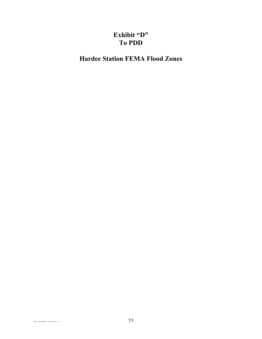# **Exhibit "D" To PDD**

**Hardee Station FEMA Flood Zones**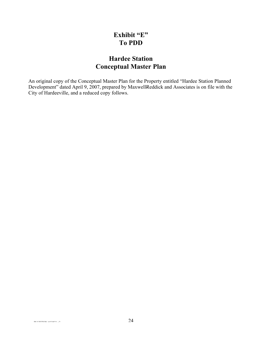### **Exhibit "E" To PDD**

### **Hardee Station Conceptual Master Plan**

An original copy of the Conceptual Master Plan for the Property entitled "Hardee Station Planned Development" dated April 9, 2007, prepared by MaxwellReddick and Associates is on file with the City of Hardeeville, and a reduced copy follows.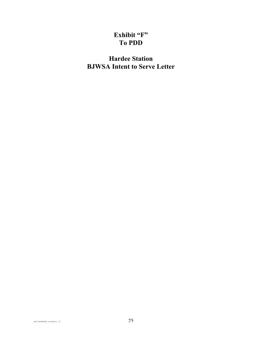# **Exhibit "F" To PDD**

# **Hardee Station BJWSA Intent to Serve Letter**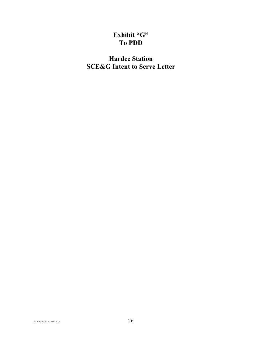### **Exhibit "G" To PDD**

# **Hardee Station SCE&G Intent to Serve Letter**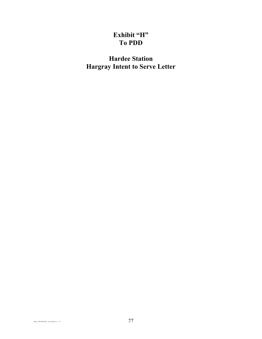### **Exhibit "H" To PDD**

**Hardee Station Hargray Intent to Serve Letter**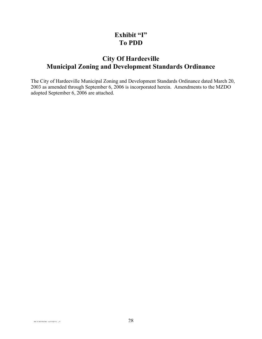### **Exhibit "I" To PDD**

### **City Of Hardeeville Municipal Zoning and Development Standards Ordinance**

The City of Hardeeville Municipal Zoning and Development Standards Ordinance dated March 20, 2003 as amended through September 6, 2006 is incorporated herein. Amendments to the MZDO adopted September 6, 2006 are attached.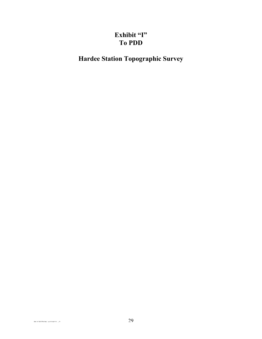# **Exhibit "I" To PDD**

**Hardee Station Topographic Survey**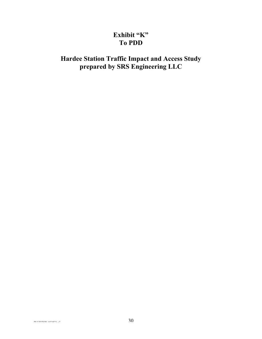### **Exhibit "K" To PDD**

# **Hardee Station Traffic Impact and Access Study prepared by SRS Engineering LLC**